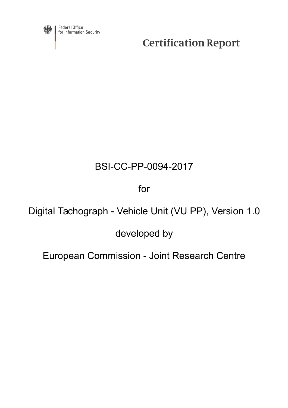

**Certification Report** 

# BSI-CC-PP-0094-2017

for

## Digital Tachograph - Vehicle Unit (VU PP), Version 1.0

## developed by

## European Commission - Joint Research Centre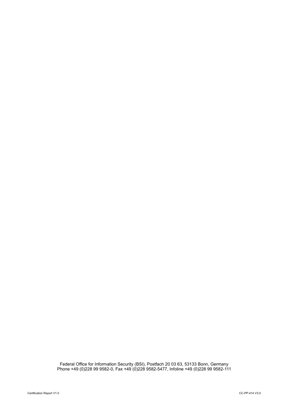Federal Office for Information Security (BSI), Postfach 20 03 63, 53133 Bonn, Germany Phone +49 (0)228 99 9582-0, Fax +49 (0)228 9582-5477, Infoline +49 (0)228 99 9582-111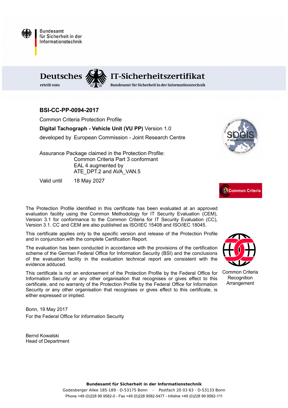

**Deutsches** erteilt vom



IT-Sicherheitszertifikat

Bundesamt für Sicherheit in der Informationstechnik

#### **BSI-CC-PP-0094-2017**

Common Criteria Protection Profile

**Digital Tachograph - Vehicle Unit (VU PP)** Version 1.0

developed by European Commission - Joint Research Centre

Assurance Package claimed in the Protection Profile: Common Criteria Part 3 conformant EAL 4 augmented by ATE\_DPT.2 and AVA\_VAN.5

Valid until 18 May 2027



The Protection Profile identified in this certificate has been evaluated at an approved evaluation facility using the Common Methodology for IT Security Evaluation (CEM), Version 3.1 for conformance to the Common Criteria for IT Security Evaluation (CC), Version 3.1. CC and CEM are also published as ISO/IEC 15408 and ISO/IEC 18045.

This certificate applies only to the specific version and release of the Protection Profile and in conjunction with the complete Certification Report.

The evaluation has been conducted in accordance with the provisions of the certification scheme of the German Federal Office for Information Security (BSI) and the conclusions of the evaluation facility in the evaluation technical report are consistent with the evidence adduced.

This certificate is not an endorsement of the Protection Profile by the Federal Office for Information Security or any other organisation that recognises or gives effect to this certificate, and no warranty of the Protection Profile by the Federal Office for Information Security or any other organisation that recognises or gives effect to this certificate, is either expressed or implied.

Bonn, 19 May 2017 For the Federal Office for Information Security

Bernd Kowalski Head of Department



Common Criteria **Recognition** Arrangement

**Bundesamt für Sicherheit in der Informationstechnik**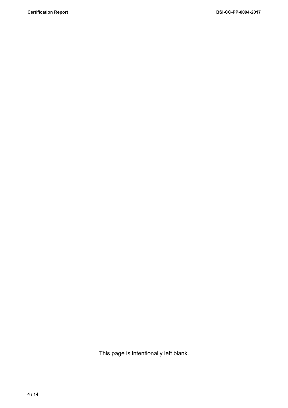This page is intentionally left blank.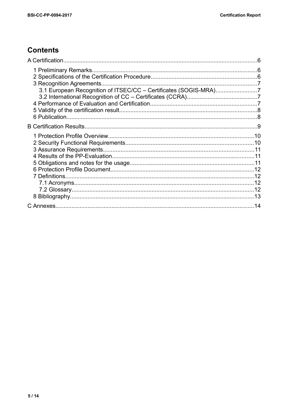### **Contents**

| 3.1 European Recognition of ITSEC/CC - Certificates (SOGIS-MRA)7 |  |
|------------------------------------------------------------------|--|
|                                                                  |  |
|                                                                  |  |
|                                                                  |  |
|                                                                  |  |
|                                                                  |  |
|                                                                  |  |
|                                                                  |  |
|                                                                  |  |
|                                                                  |  |
|                                                                  |  |
|                                                                  |  |
|                                                                  |  |
|                                                                  |  |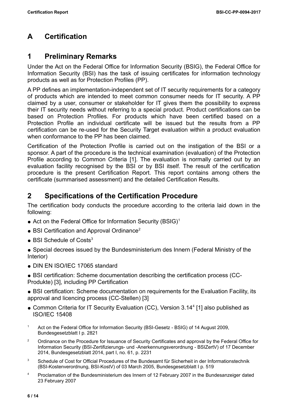## **A Certification**

#### **1 Preliminary Remarks**

Under the Act on the Federal Office for Information Security (BSIG), the Federal Office for Information Security (BSI) has the task of issuing certificates for information technology products as well as for Protection Profiles (PP).

A PP defines an implementation-independent set of IT security requirements for a category of products which are intended to meet common consumer needs for IT security. A PP claimed by a user, consumer or stakeholder for IT gives them the possibility to express their IT security needs without referring to a special product. Product certifications can be based on Protection Profiles. For products which have been certified based on a Protection Profile an individual certificate will be issued but the results from a PP certification can be re-used for the Security Target evaluation within a product evaluation when conformance to the PP has been claimed.

Certification of the Protection Profile is carried out on the instigation of the BSI or a sponsor. A part of the procedure is the technical examination (evaluation) of the Protection Profile according to Common Criteria [1]. The evaluation is normally carried out by an evaluation facility recognised by the BSI or by BSI itself. The result of the certification procedure is the present Certification Report. This report contains among others the certificate (summarised assessment) and the detailed Certification Results.

### **2 Specifications of the Certification Procedure**

The certification body conducts the procedure according to the criteria laid down in the following:

- $\bullet$  Act on the Federal Office for Information Security (BSIG)<sup>[1](#page-5-0)</sup>
- $\bullet$  BSI Certification and Approval Ordinance<sup>[2](#page-5-1)</sup>
- $\bullet$  BSI Schedule of Costs<sup>[3](#page-5-2)</sup>
- Special decrees issued by the Bundesministerium des Innern (Federal Ministry of the Interior)
- DIN EN ISO/IEC 17065 standard
- BSI certification: Scheme documentation describing the certification process (CC-Produkte) [3], including PP Certification

● BSI certification: Scheme documentation on requirements for the Evaluation Facility, its approval and licencing process (CC-Stellen) [3]

- Common Criteria for IT Security Evaluation (CC), Version 3.1[4](#page-5-3)<sup>4</sup> [1] also published as ISO/IEC 15408
- <span id="page-5-0"></span><sup>1</sup> Act on the Federal Office for Information Security (BSI-Gesetz - BSIG) of 14 August 2009, Bundesgesetzblatt I p. 2821
- <span id="page-5-1"></span><sup>2</sup> Ordinance on the Procedure for Issuance of Security Certificates and approval by the Federal Office for Information Security (BSI-Zertifizierungs- und -Anerkennungsverordnung - BSIZertV) of 17 December 2014, Bundesgesetzblatt 2014, part I, no. 61, p. 2231
- <span id="page-5-2"></span><sup>3</sup> Schedule of Cost for Official Procedures of the Bundesamt für Sicherheit in der Informationstechnik (BSI-Kostenverordnung, BSI-KostV) of 03 March 2005, Bundesgesetzblatt I p. 519
- <span id="page-5-3"></span><sup>4</sup> Proclamation of the Bundesministerium des Innern of 12 February 2007 in the Bundesanzeiger dated 23 February 2007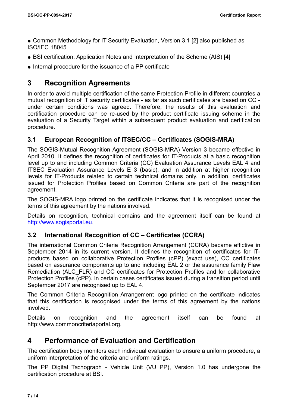- Common Methodology for IT Security Evaluation, Version 3.1 [2] also published as ISO/IEC 18045
- BSI certification: Application Notes and Interpretation of the Scheme (AIS) [4]
- Internal procedure for the issuance of a PP certificate

#### **3 Recognition Agreements**

In order to avoid multiple certification of the same Protection Profile in different countries a mutual recognition of IT security certificates - as far as such certificates are based on CC under certain conditions was agreed. Therefore, the results of this evaluation and certification procedure can be re-used by the product certificate issuing scheme in the evaluation of a Security Target within a subsequent product evaluation and certification procedure.

#### **3.1 European Recognition of ITSEC/CC – Certificates (SOGIS-MRA)**

The SOGIS-Mutual Recognition Agreement (SOGIS-MRA) Version 3 became effective in April 2010. It defines the recognition of certificates for IT-Products at a basic recognition level up to and including Common Criteria (CC) Evaluation Assurance Levels EAL 4 and ITSEC Evaluation Assurance Levels E 3 (basic), and in addition at higher recognition levels for IT-Products related to certain technical domains only. In addition, certificates issued for Protection Profiles based on Common Criteria are part of the recognition agreement.

The SOGIS-MRA logo printed on the certificate indicates that it is recognised under the terms of this agreement by the nations involved.

Details on recognition, technical domains and the agreement itself can be found at http://www.sogisportal.eu

#### **3.2 International Recognition of CC – Certificates (CCRA)**

The international Common Criteria Recognition Arrangement (CCRA) became effictive in September 2014 in its current version. It defines the recognition of certificates for ITproducts based on collaborative Protection Profiles (cPP) (exact use), CC certificates based on assurance components up to and including EAL 2 or the assurance family Flaw Remediation (ALC\_FLR) and CC certificates for Protection Profiles and for collaborative Protection Profiles (cPP). In certain cases certificates issued during a transition period until September 2017 are recognised up to EAL 4.

The Common Criteria Recognition Arrangement logo printed on the certificate indicates that this certification is recognised under the terms of this agreement by the nations involved.

Details on recognition and the agreement itself can be found at http://www.commoncriteriaportal.org.

#### **4 Performance of Evaluation and Certification**

The certification body monitors each individual evaluation to ensure a uniform procedure, a uniform interpretation of the criteria and uniform ratings.

The PP Digital Tachograph - Vehicle Unit (VU PP), Version 1.0 has undergone the certification procedure at BSI.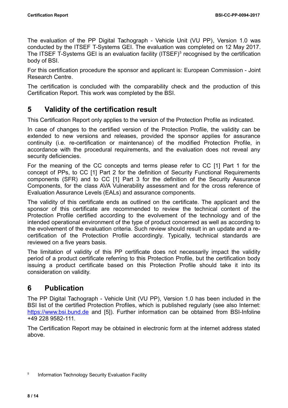The evaluation of the PP Digital Tachograph - Vehicle Unit (VU PP), Version 1.0 was conducted by the ITSEF T-Systems GEI. The evaluation was completed on 12 May 2017. The ITSEF T-Systems GEI is an evaluation facility (ITSEF)<sup>[5](#page-7-0)</sup> recognised by the certification body of BSI.

For this certification procedure the sponsor and applicant is: European Commission - Joint Research Centre.

The certification is concluded with the comparability check and the production of this Certification Report. This work was completed by the BSI.

#### **5 Validity of the certification result**

This Certification Report only applies to the version of the Protection Profile as indicated.

In case of changes to the certified version of the Protection Profile, the validity can be extended to new versions and releases, provided the sponsor applies for assurance continuity (i.e. re-certification or maintenance) of the modified Protection Profile, in accordance with the procedural requirements, and the evaluation does not reveal any security deficiencies.

For the meaning of the CC concepts and terms please refer to CC [1] Part 1 for the concept of PPs, to CC [1] Part 2 for the definition of Security Functional Requirements components (SFR) and to CC [1] Part 3 for the definition of the Security Assurance Components, for the class AVA Vulnerability assessment and for the cross reference of Evaluation Assurance Levels (EALs) and assurance components.

The validity of this certificate ends as outlined on the certificate. The applicant and the sponsor of this certificate are recommended to review the technical content of the Protection Profile certified according to the evolvement of the technology and of the intended operational environment of the type of product concerned as well as according to the evolvement of the evaluation criteria. Such review should result in an update and a recertification of the Protection Profile accordingly. Typically, technical standards are reviewed on a five years basis.

The limitation of validity of this PP certificate does not necessarily impact the validity period of a product certificate referring to this Protection Profile, but the certification body issuing a product certificate based on this Protection Profile should take it into its consideration on validity.

### **6 Publication**

The PP Digital Tachograph - Vehicle Unit (VU PP), Version 1.0 has been included in the BSI list of the certified Protection Profiles, which is published regularly (see also Internet: https://www.bsi.bund.de and [5]). Further information can be obtained from BSI-Infoline +49 228 9582-111.

The Certification Report may be obtained in electronic form at the internet address stated above.

<span id="page-7-0"></span><sup>5</sup> Information Technology Security Evaluation Facility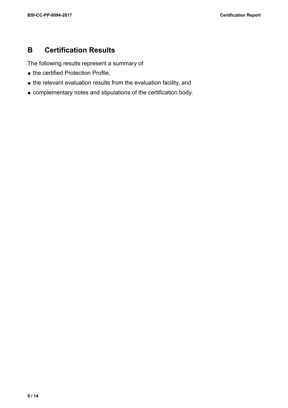#### **B Certification Results**

The following results represent a summary of

- the certified Protection Profile,
- the relevant evaluation results from the evaluation facility, and
- complementary notes and stipulations of the certification body.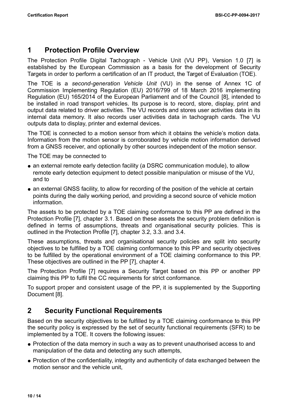#### **1 Protection Profile Overview**

The Protection Profile Digital Tachograph - Vehicle Unit (VU PP), Version 1.0 [7] is established by the European Commission as a basis for the development of Security Targets in order to perform a certification of an IT product, the Target of Evaluation (TOE).

The TOE is a *second-generation Vehicle Unit* (VU) in the sense of Annex 1C of Commission Implementing Regulation (EU) 2016/799 of 18 March 2016 implementing Regulation (EU) 165/2014 of the European Parliament and of the Council [8], intended to be installed in road transport vehicles. Its purpose is to record, store, display, print and output data related to driver activities. The VU records and stores user activities data in its internal data memory. It also records user activities data in tachograph cards. The VU outputs data to display, printer and external devices.

The TOE is connected to a motion sensor from which it obtains the vehicle's motion data. Information from the motion sensor is corroborated by vehicle motion information derived from a GNSS receiver, and optionally by other sources independent of the motion sensor.

The TOE may be connected to

- an external remote early detection facility (a DSRC communication module), to allow remote early detection equipment to detect possible manipulation or misuse of the VU, and to
- an external GNSS facility, to allow for recording of the position of the vehicle at certain points during the daily working period, and providing a second source of vehicle motion information.

The assets to be protected by a TOE claiming conformance to this PP are defined in the Protection Profile [7], chapter 3.1. Based on these assets the security problem definition is defined in terms of assumptions, threats and organisational security policies. This is outlined in the Protection Profile [7], chapter 3.2, 3.3. and 3.4.

These assumptions, threats and organisational security policies are split into security objectives to be fulfilled by a TOE claiming conformance to this PP and security objectives to be fulfilled by the operational environment of a TOE claiming conformance to this PP. These objectives are outlined in the PP [7], chapter 4.

The Protection Profile [7] requires a Security Target based on this PP or another PP claiming this PP to fulfil the CC requirements for strict conformance.

To support proper and consistent usage of the PP, it is supplemented by the Supporting Document [8].

### **2 Security Functional Requirements**

Based on the security objectives to be fulfilled by a TOE claiming conformance to this PP the security policy is expressed by the set of security functional requirements (SFR) to be implemented by a TOE. It covers the following issues:

- Protection of the data memory in such a way as to prevent unauthorised access to and manipulation of the data and detecting any such attempts,
- Protection of the confidentiality, integrity and authenticity of data exchanged between the motion sensor and the vehicle unit,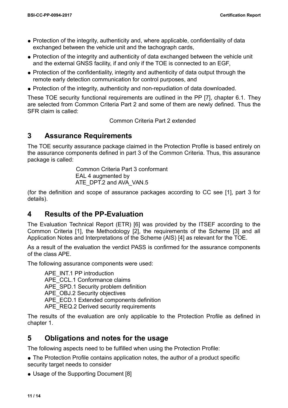- Protection of the integrity, authenticity and, where applicable, confidentiality of data exchanged between the vehicle unit and the tachograph cards.
- Protection of the integrity and authenticity of data exchanged between the vehicle unit and the external GNSS facility, if and only if the TOE is connected to an EGF,
- Protection of the confidentiality, integrity and authenticity of data output through the remote early detection communication for control purposes, and
- Protection of the integrity, authenticity and non-repudiation of data downloaded.

These TOE security functional requirements are outlined in the PP [7], chapter 6.1. They are selected from Common Criteria Part 2 and some of them are newly defined. Thus the SFR claim is called:

Common Criteria Part 2 extended

#### **3 Assurance Requirements**

The TOE security assurance package claimed in the Protection Profile is based entirely on the assurance components defined in part 3 of the Common Criteria. Thus, this assurance package is called:

> Common Criteria Part 3 conformant EAL 4 augmented by ATE\_DPT.2 and AVA\_VAN.5

(for the definition and scope of assurance packages according to CC see [1], part 3 for details).

#### **4 Results of the PP-Evaluation**

The Evaluation Technical Report (ETR) [6] was provided by the ITSEF according to the Common Criteria [1], the Methodology [2], the requirements of the Scheme [3] and all Application Notes and Interpretations of the Scheme (AIS) [4] as relevant for the TOE.

As a result of the evaluation the verdict PASS is confirmed for the assurance components of the class APE.

The following assurance components were used:

APE\_INT.1 PP introduction APE CCL.1 Conformance claims APE\_SPD.1 Security problem definition APE\_OBJ.2 Security objectives APE\_ECD.1 Extended components definition APE\_REQ.2 Derived security requirements

The results of the evaluation are only applicable to the Protection Profile as defined in chapter 1.

#### **5 Obligations and notes for the usage**

The following aspects need to be fulfilled when using the Protection Profile:

• The Protection Profile contains application notes, the author of a product specific security target needs to consider

• Usage of the Supporting Document [8]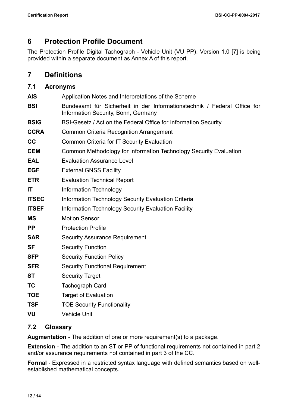### **6 Protection Profile Document**

The Protection Profile Digital Tachograph - Vehicle Unit (VU PP), Version 1.0 [7] is being provided within a separate document as Annex A of this report.

### **7 Definitions**

#### **7.1 Acronyms**

| <b>AIS</b>   | Application Notes and Interpretations of the Scheme                                                             |
|--------------|-----------------------------------------------------------------------------------------------------------------|
| <b>BSI</b>   | Bundesamt für Sicherheit in der Informationstechnik / Federal Office for<br>Information Security, Bonn, Germany |
| <b>BSIG</b>  | BSI-Gesetz / Act on the Federal Office for Information Security                                                 |
| <b>CCRA</b>  | <b>Common Criteria Recognition Arrangement</b>                                                                  |
| cc           | <b>Common Criteria for IT Security Evaluation</b>                                                               |
| <b>CEM</b>   | Common Methodology for Information Technology Security Evaluation                                               |
| <b>EAL</b>   | <b>Evaluation Assurance Level</b>                                                                               |
| <b>EGF</b>   | <b>External GNSS Facility</b>                                                                                   |
| <b>ETR</b>   | <b>Evaluation Technical Report</b>                                                                              |
| IT           | <b>Information Technology</b>                                                                                   |
| <b>ITSEC</b> | Information Technology Security Evaluation Criteria                                                             |
| <b>ITSEF</b> | Information Technology Security Evaluation Facility                                                             |
| <b>MS</b>    | <b>Motion Sensor</b>                                                                                            |
| <b>PP</b>    | <b>Protection Profile</b>                                                                                       |
| <b>SAR</b>   | <b>Security Assurance Requirement</b>                                                                           |
| <b>SF</b>    | <b>Security Function</b>                                                                                        |
| <b>SFP</b>   | <b>Security Function Policy</b>                                                                                 |
| <b>SFR</b>   | <b>Security Functional Requirement</b>                                                                          |
| <b>ST</b>    | <b>Security Target</b>                                                                                          |
| <b>TC</b>    | <b>Tachograph Card</b>                                                                                          |
| <b>TOE</b>   | <b>Target of Evaluation</b>                                                                                     |
| <b>TSF</b>   | <b>TOE Security Functionality</b>                                                                               |
| VU           | <b>Vehicle Unit</b>                                                                                             |

#### **7.2 Glossary**

**Augmentation** - The addition of one or more requirement(s) to a package.

**Extension** - The addition to an ST or PP of functional requirements not contained in part 2 and/or assurance requirements not contained in part 3 of the CC.

**Formal** - Expressed in a restricted syntax language with defined semantics based on wellestablished mathematical concepts.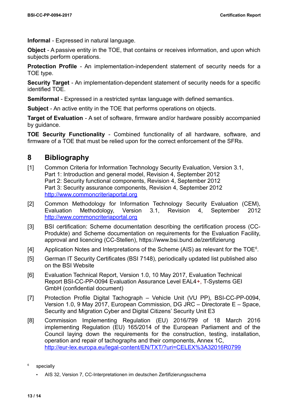**Informal** - Expressed in natural language.

**Object** - A passive entity in the TOE, that contains or receives information, and upon which subjects perform operations.

**Protection Profile** - An implementation-independent statement of security needs for a TOE type.

**Security Target** - An implementation-dependent statement of security needs for a specific identified TOE.

**Semiformal** - Expressed in a restricted syntax language with defined semantics.

**Subject** - An active entity in the TOE that performs operations on objects.

**Target of Evaluation** - A set of software, firmware and/or hardware possibly accompanied by guidance.

**TOE Security Functionality** - Combined functionality of all hardware, software, and firmware of a TOE that must be relied upon for the correct enforcement of the SFRs.

#### **8 Bibliography**

- [1] Common Criteria for Information Technology Security Evaluation, Version 3.1, Part 1: Introduction and general model, Revision 4, September 2012 Part 2: Security functional components, Revision 4, September 2012 Part 3: Security assurance components, Revision 4, September 2012 [http://www.commoncriteriaportal.org](http://www.commoncriteriaportal.org/)
- [2] Common Methodology for Information Technology Security Evaluation (CEM), Evaluation Methodology, Version 3.1, Revision 4, September 2012 [http://www.commoncriteriaportal.org](http://www.commoncriteriaportal.org/)
- [3] BSI certification: Scheme documentation describing the certification process (CC-Produkte) and Scheme documentation on requirements for the Evaluation Facility, approval and licencing (CC-Stellen), https://www.bsi.bund.de/zertifizierung
- [4] Application Notes and Interpretations of the Scheme (AIS) as relevant for the TOE<sup>[6](#page-12-0)</sup>.
- [5] German IT Security Certificates (BSI 7148), periodically updated list published also on the BSI Website
- [6] Evaluation Technical Report, Version 1.0, 10 May 2017, Evaluation Technical Report BSI-CC-PP-0094 Evaluation Assurance Level EAL4+, T-Systems GEI GmbH (confidential document)
- [7] Protection Profile Digital Tachograph Vehicle Unit (VU PP), BSI-CC-PP-0094, Version 1.0, 9 May 2017, European Commission, DG JRC – Directorate E – Space, Security and Migration Cyber and Digital Citizens' Security Unit E3
- [8] Commission Implementing Regulation (EU) 2016/799 of 18 March 2016 implementing Regulation (EU) 165/2014 of the European Parliament and of the Council laying down the requirements for the construction, testing, installation, operation and repair of tachographs and their components, Annex 1C, <http://eur-lex.europa.eu/legal-content/EN/TXT/?uri=CELEX%3A32016R0799>

• AIS 32, Version 7, CC-Interpretationen im deutschen Zertifizierungsschema

<span id="page-12-0"></span><sup>6</sup> specially